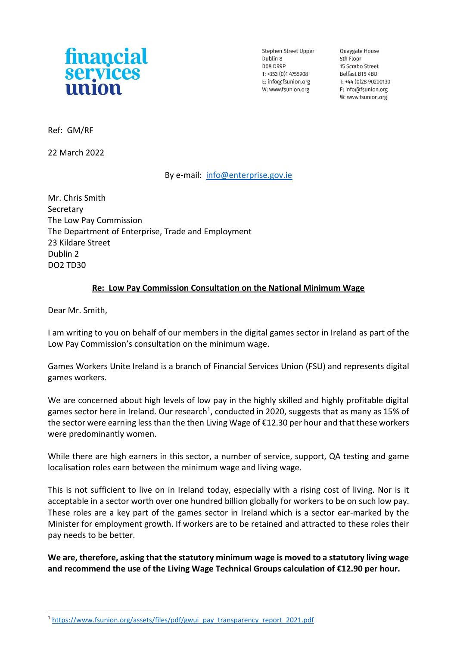

Stephen Street Upper Dublin 8 D08 DR9P  $T: +353(0)14755908$ E: info@fsunion.org W: www.fsunion.org

Quaygate House 5th Floor 15 Scrabo Street Belfast BT5 4BD T: +44 (0)28 90200130 E: info@fsunion.org W: www.fsunion.org

Ref: GM/RF

22 March 2022

## By e-mail: [info@enterprise.gov.ie](mailto:info@enterprise.gov.ie)

Mr. Chris Smith Secretary The Low Pay Commission The Department of Enterprise, Trade and Employment 23 Kildare Street Dublin 2 DO2 TD30

## **Re: Low Pay Commission Consultation on the National Minimum Wage**

Dear Mr. Smith,

I am writing to you on behalf of our members in the digital games sector in Ireland as part of the Low Pay Commission's consultation on the minimum wage.

Games Workers Unite Ireland is a branch of Financial Services Union (FSU) and represents digital games workers.

We are concerned about high levels of low pay in the highly skilled and highly profitable digital games sector here in Ireland. Our research<sup>1</sup>, conducted in 2020, suggests that as many as 15% of the sector were earning less than the then Living Wage of €12.30 per hour and that these workers were predominantly women.

While there are high earners in this sector, a number of service, support, QA testing and game localisation roles earn between the minimum wage and living wage.

This is not sufficient to live on in Ireland today, especially with a rising cost of living. Nor is it acceptable in a sector worth over one hundred billion globally for workers to be on such low pay. These roles are a key part of the games sector in Ireland which is a sector ear-marked by the Minister for employment growth. If workers are to be retained and attracted to these roles their pay needs to be better.

**We are, therefore, asking that the statutory minimum wage is moved to a statutory living wage and recommend the use of the Living Wage Technical Groups calculation of €12.90 per hour.** 

<sup>&</sup>lt;sup>1</sup> [https://www.fsunion.org/assets/files/pdf/gwui\\_pay\\_transparency\\_report\\_2021.pdf](https://www.fsunion.org/assets/files/pdf/gwui_pay_transparency_report_2021.pdf)